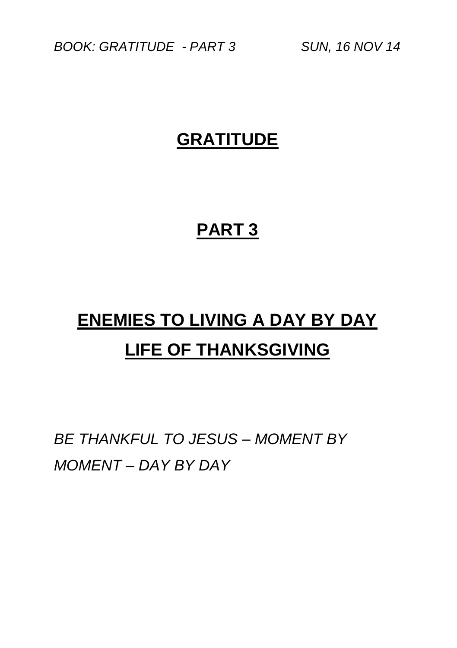*BOOK: GRATITUDE - PART 3 SUN, 16 NOV 14*

### **GRATITUDE**

## **PART 3**

# **ENEMIES TO LIVING A DAY BY DAY LIFE OF THANKSGIVING**

*BE THANKFUL TO JESUS – MOMENT BY MOMENT – DAY BY DAY*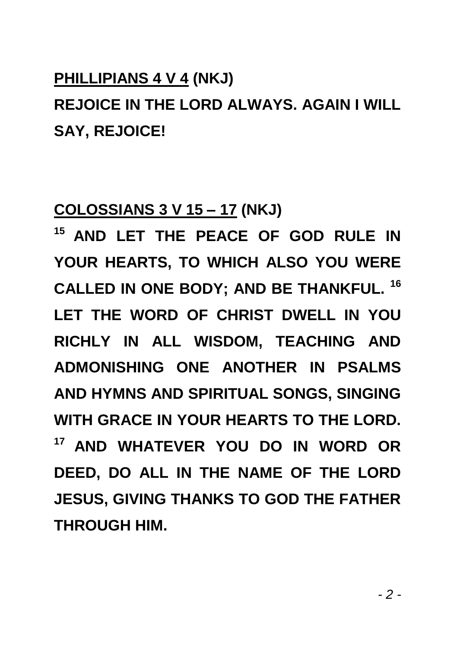### **PHILLIPIANS 4 V 4 (NKJ)**

## **REJOICE IN THE LORD ALWAYS. AGAIN I WILL SAY, REJOICE!**

### **COLOSSIANS 3 V 15 – 17 (NKJ)**

**<sup>15</sup>AND LET THE PEACE OF GOD RULE IN YOUR HEARTS, TO WHICH ALSO YOU WERE CALLED IN ONE BODY; AND BE THANKFUL. <sup>16</sup> LET THE WORD OF CHRIST DWELL IN YOU RICHLY IN ALL WISDOM, TEACHING AND ADMONISHING ONE ANOTHER IN PSALMS AND HYMNS AND SPIRITUAL SONGS, SINGING WITH GRACE IN YOUR HEARTS TO THE LORD. <sup>17</sup>AND WHATEVER YOU DO IN WORD OR DEED, DO ALL IN THE NAME OF THE LORD JESUS, GIVING THANKS TO GOD THE FATHER THROUGH HIM.**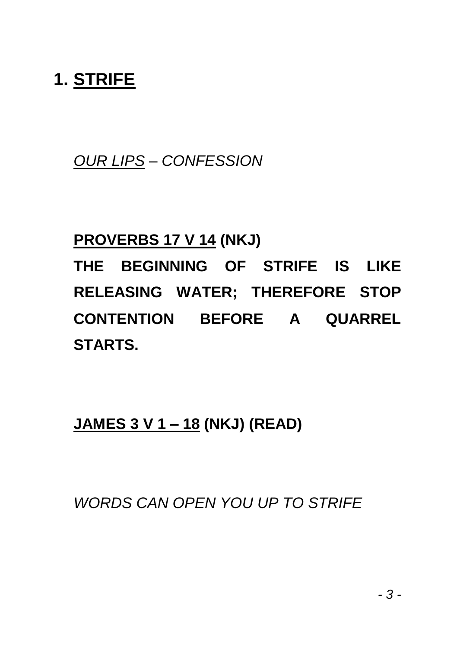## **1. STRIFE**

*OUR LIPS – CONFESSION*

### **PROVERBS 17 V 14 (NKJ)**

**THE BEGINNING OF STRIFE IS LIKE RELEASING WATER; THEREFORE STOP CONTENTION BEFORE A QUARREL STARTS.**

**JAMES 3 V 1 – 18 (NKJ) (READ)**

*WORDS CAN OPEN YOU UP TO STRIFE*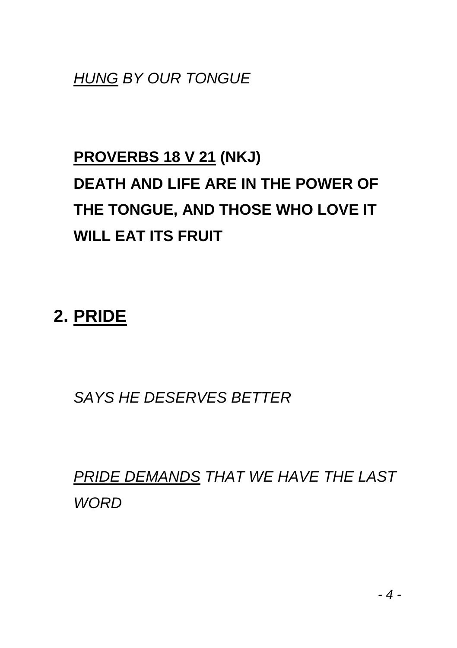*HUNG BY OUR TONGUE*

## **PROVERBS 18 V 21 (NKJ) DEATH AND LIFE ARE IN THE POWER OF THE TONGUE, AND THOSE WHO LOVE IT WILL EAT ITS FRUIT**

## **2. PRIDE**

*SAYS HE DESERVES BETTER*

*PRIDE DEMANDS THAT WE HAVE THE LAST WORD*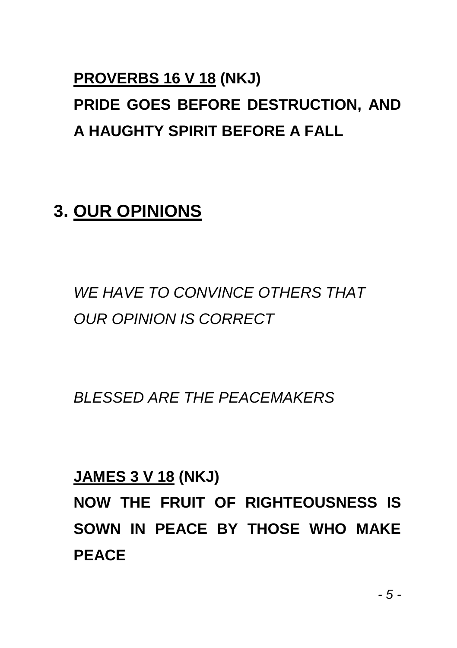## **PROVERBS 16 V 18 (NKJ) PRIDE GOES BEFORE DESTRUCTION, AND A HAUGHTY SPIRIT BEFORE A FALL**

## **3. OUR OPINIONS**

*WE HAVE TO CONVINCE OTHERS THAT OUR OPINION IS CORRECT*

*BLESSED ARE THE PEACEMAKERS*

**JAMES 3 V 18 (NKJ)**

**NOW THE FRUIT OF RIGHTEOUSNESS IS SOWN IN PEACE BY THOSE WHO MAKE PEACE**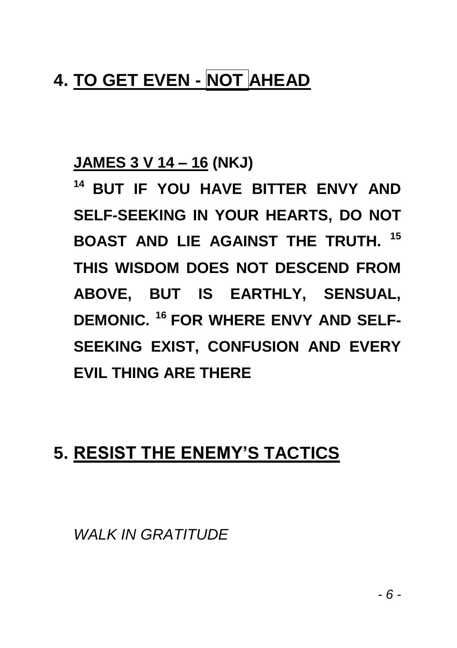## **4. TO GET EVEN - NOT AHEAD**

### **JAMES 3 V 14 – 16 (NKJ)**

**<sup>14</sup>BUT IF YOU HAVE BITTER ENVY AND SELF-SEEKING IN YOUR HEARTS, DO NOT BOAST AND LIE AGAINST THE TRUTH. <sup>15</sup> THIS WISDOM DOES NOT DESCEND FROM ABOVE, BUT IS EARTHLY, SENSUAL, DEMONIC. <sup>16</sup>FOR WHERE ENVY AND SELF-SEEKING EXIST, CONFUSION AND EVERY EVIL THING ARE THERE**

## **5. RESIST THE ENEMY'S TACTICS**

*WALK IN GRATITUDE*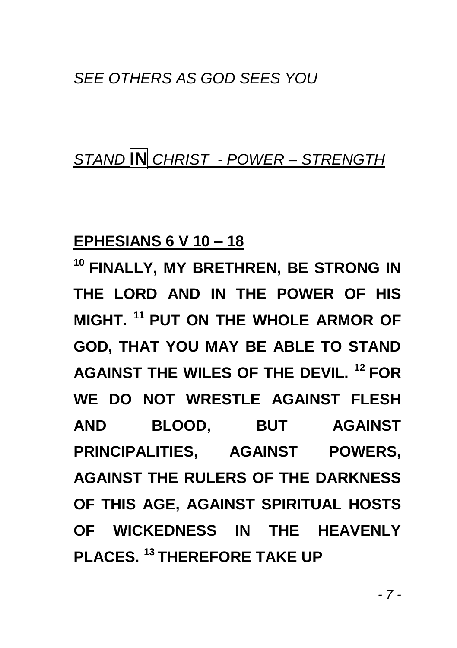#### *SEE OTHERS AS GOD SEES YOU*

### *STAND* **IN** *CHRIST - POWER – STRENGTH*

#### **EPHESIANS 6 V 10 – 18**

**<sup>10</sup>FINALLY, MY BRETHREN, BE STRONG IN THE LORD AND IN THE POWER OF HIS MIGHT. <sup>11</sup>PUT ON THE WHOLE ARMOR OF GOD, THAT YOU MAY BE ABLE TO STAND AGAINST THE WILES OF THE DEVIL. <sup>12</sup>FOR WE DO NOT WRESTLE AGAINST FLESH AND BLOOD, BUT AGAINST PRINCIPALITIES, AGAINST POWERS, AGAINST THE RULERS OF THE DARKNESS OF THIS AGE, AGAINST SPIRITUAL HOSTS OF WICKEDNESS IN THE HEAVENLY PLACES. <sup>13</sup>THEREFORE TAKE UP**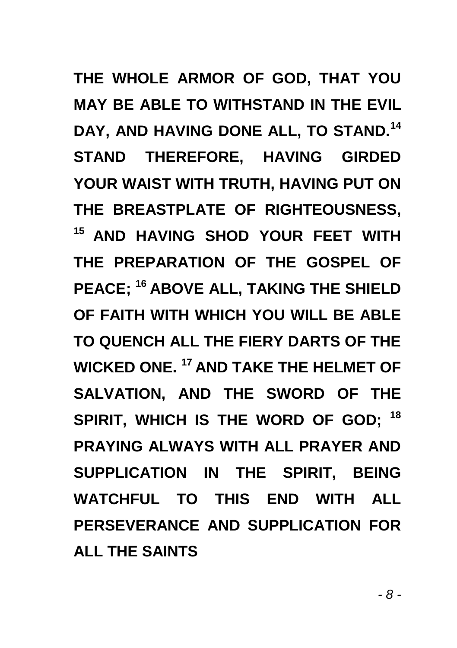**THE WHOLE ARMOR OF GOD, THAT YOU MAY BE ABLE TO WITHSTAND IN THE EVIL DAY, AND HAVING DONE ALL, TO STAND.<sup>14</sup> STAND THEREFORE, HAVING GIRDED YOUR WAIST WITH TRUTH, HAVING PUT ON THE BREASTPLATE OF RIGHTEOUSNESS, <sup>15</sup>AND HAVING SHOD YOUR FEET WITH THE PREPARATION OF THE GOSPEL OF PEACE; <sup>16</sup>ABOVE ALL, TAKING THE SHIELD OF FAITH WITH WHICH YOU WILL BE ABLE TO QUENCH ALL THE FIERY DARTS OF THE WICKED ONE. <sup>17</sup>AND TAKE THE HELMET OF SALVATION, AND THE SWORD OF THE SPIRIT, WHICH IS THE WORD OF GOD; <sup>18</sup> PRAYING ALWAYS WITH ALL PRAYER AND SUPPLICATION IN THE SPIRIT, BEING WATCHFUL TO THIS END WITH ALL PERSEVERANCE AND SUPPLICATION FOR ALL THE SAINTS**